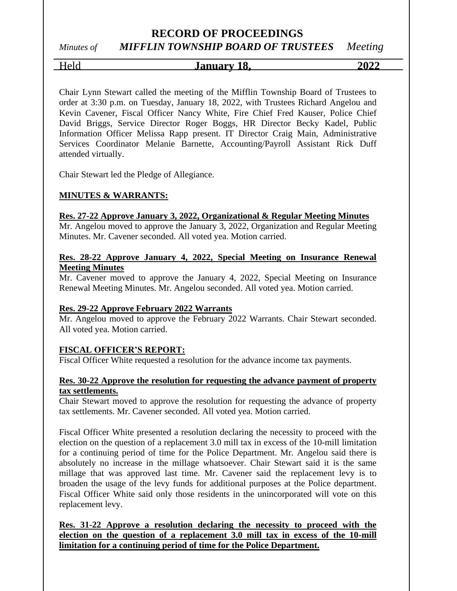# *Minutes of MIFFLIN TOWNSHIP BOARD OF TRUSTEES Meeting*

### Held **January 18, 2022**

Chair Lynn Stewart called the meeting of the Mifflin Township Board of Trustees to order at 3:30 p.m. on Tuesday, January 18, 2022, with Trustees Richard Angelou and Kevin Cavener, Fiscal Officer Nancy White, Fire Chief Fred Kauser, Police Chief David Briggs, Service Director Roger Boggs, HR Director Becky Kadel, Public Information Officer Melissa Rapp present. IT Director Craig Main, Administrative Services Coordinator Melanie Barnette, Accounting/Payroll Assistant Rick Duff attended virtually.

Chair Stewart led the Pledge of Allegiance.

#### **MINUTES & WARRANTS:**

#### **Res. 27-22 Approve January 3, 2022, Organizational & Regular Meeting Minutes**

Mr. Angelou moved to approve the January 3, 2022, Organization and Regular Meeting Minutes. Mr. Cavener seconded. All voted yea. Motion carried.

#### **Res. 28-22 Approve January 4, 2022, Special Meeting on Insurance Renewal Meeting Minutes**

Mr. Cavener moved to approve the January 4, 2022, Special Meeting on Insurance Renewal Meeting Minutes. Mr. Angelou seconded. All voted yea. Motion carried.

#### **Res. 29-22 Approve February 2022 Warrants**

Mr. Angelou moved to approve the February 2022 Warrants. Chair Stewart seconded. All voted yea. Motion carried.

#### **FISCAL OFFICER'S REPORT:**

Fiscal Officer White requested a resolution for the advance income tax payments.

#### **Res. 30-22 Approve the resolution for requesting the advance payment of property tax settlements.**

Chair Stewart moved to approve the resolution for requesting the advance of property tax settlements. Mr. Cavener seconded. All voted yea. Motion carried.

Fiscal Officer White presented a resolution declaring the necessity to proceed with the election on the question of a replacement 3.0 mill tax in excess of the 10-mill limitation for a continuing period of time for the Police Department. Mr. Angelou said there is absolutely no increase in the millage whatsoever. Chair Stewart said it is the same millage that was approved last time. Mr. Cavener said the replacement levy is to broaden the usage of the levy funds for additional purposes at the Police department. Fiscal Officer White said only those residents in the unincorporated will vote on this replacement levy.

**Res. 31-22 Approve a resolution declaring the necessity to proceed with the election on the question of a replacement 3.0 mill tax in excess of the 10-mill limitation for a continuing period of time for the Police Department.**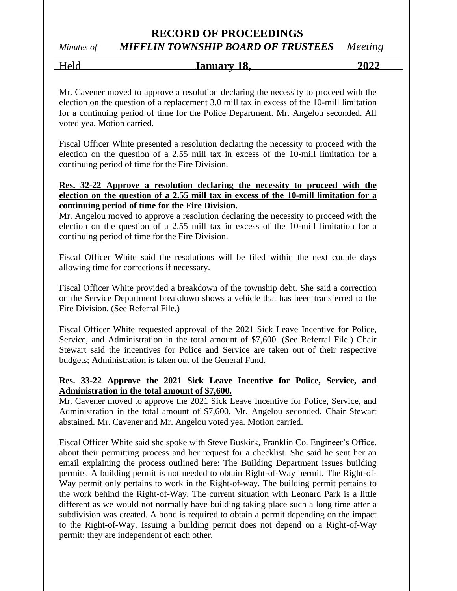### *Minutes of MIFFLIN TOWNSHIP BOARD OF TRUSTEES Meeting*

Held **January 18, 2022**

Mr. Cavener moved to approve a resolution declaring the necessity to proceed with the election on the question of a replacement 3.0 mill tax in excess of the 10-mill limitation for a continuing period of time for the Police Department. Mr. Angelou seconded. All voted yea. Motion carried.

Fiscal Officer White presented a resolution declaring the necessity to proceed with the election on the question of a 2.55 mill tax in excess of the 10-mill limitation for a continuing period of time for the Fire Division.

#### **Res. 32-22 Approve a resolution declaring the necessity to proceed with the election on the question of a 2.55 mill tax in excess of the 10-mill limitation for a continuing period of time for the Fire Division.**

Mr. Angelou moved to approve a resolution declaring the necessity to proceed with the election on the question of a 2.55 mill tax in excess of the 10-mill limitation for a continuing period of time for the Fire Division.

Fiscal Officer White said the resolutions will be filed within the next couple days allowing time for corrections if necessary.

Fiscal Officer White provided a breakdown of the township debt. She said a correction on the Service Department breakdown shows a vehicle that has been transferred to the Fire Division. (See Referral File.)

Fiscal Officer White requested approval of the 2021 Sick Leave Incentive for Police, Service, and Administration in the total amount of \$7,600. (See Referral File.) Chair Stewart said the incentives for Police and Service are taken out of their respective budgets; Administration is taken out of the General Fund.

#### **Res. 33-22 Approve the 2021 Sick Leave Incentive for Police, Service, and Administration in the total amount of \$7,600.**

Mr. Cavener moved to approve the 2021 Sick Leave Incentive for Police, Service, and Administration in the total amount of \$7,600. Mr. Angelou seconded. Chair Stewart abstained. Mr. Cavener and Mr. Angelou voted yea. Motion carried.

Fiscal Officer White said she spoke with Steve Buskirk, Franklin Co. Engineer's Office, about their permitting process and her request for a checklist. She said he sent her an email explaining the process outlined here: The Building Department issues building permits. A building permit is not needed to obtain Right-of-Way permit. The Right-of-Way permit only pertains to work in the Right-of-way. The building permit pertains to the work behind the Right-of-Way. The current situation with Leonard Park is a little different as we would not normally have building taking place such a long time after a subdivision was created. A bond is required to obtain a permit depending on the impact to the Right-of-Way. Issuing a building permit does not depend on a Right-of-Way permit; they are independent of each other.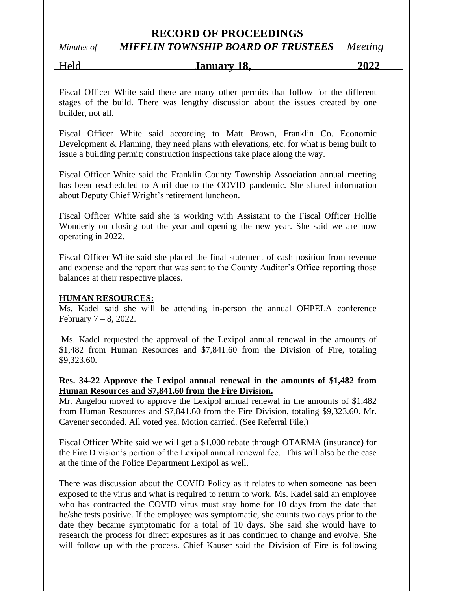### *Minutes of MIFFLIN TOWNSHIP BOARD OF TRUSTEES Meeting*

#### Held **January 18, 2022**

Fiscal Officer White said there are many other permits that follow for the different stages of the build. There was lengthy discussion about the issues created by one builder, not all.

Fiscal Officer White said according to Matt Brown, Franklin Co. Economic Development & Planning, they need plans with elevations, etc. for what is being built to issue a building permit; construction inspections take place along the way.

Fiscal Officer White said the Franklin County Township Association annual meeting has been rescheduled to April due to the COVID pandemic. She shared information about Deputy Chief Wright's retirement luncheon.

Fiscal Officer White said she is working with Assistant to the Fiscal Officer Hollie Wonderly on closing out the year and opening the new year. She said we are now operating in 2022.

Fiscal Officer White said she placed the final statement of cash position from revenue and expense and the report that was sent to the County Auditor's Office reporting those balances at their respective places.

#### **HUMAN RESOURCES:**

Ms. Kadel said she will be attending in-person the annual OHPELA conference February 7 – 8, 2022.

Ms. Kadel requested the approval of the Lexipol annual renewal in the amounts of \$1,482 from Human Resources and \$7,841.60 from the Division of Fire, totaling \$9,323.60.

#### **Res. 34-22 Approve the Lexipol annual renewal in the amounts of \$1,482 from Human Resources and \$7,841.60 from the Fire Division.**

Mr. Angelou moved to approve the Lexipol annual renewal in the amounts of \$1,482 from Human Resources and \$7,841.60 from the Fire Division, totaling \$9,323.60. Mr. Cavener seconded. All voted yea. Motion carried. (See Referral File.)

Fiscal Officer White said we will get a \$1,000 rebate through OTARMA (insurance) for the Fire Division's portion of the Lexipol annual renewal fee. This will also be the case at the time of the Police Department Lexipol as well.

There was discussion about the COVID Policy as it relates to when someone has been exposed to the virus and what is required to return to work. Ms. Kadel said an employee who has contracted the COVID virus must stay home for 10 days from the date that he/she tests positive. If the employee was symptomatic, she counts two days prior to the date they became symptomatic for a total of 10 days. She said she would have to research the process for direct exposures as it has continued to change and evolve. She will follow up with the process. Chief Kauser said the Division of Fire is following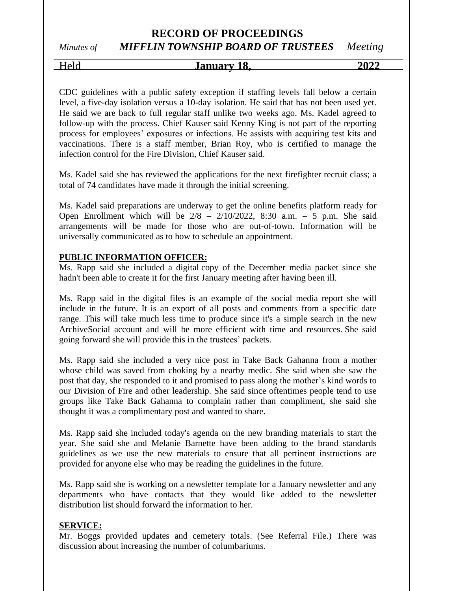*Minutes of MIFFLIN TOWNSHIP BOARD OF TRUSTEES Meeting*

Held **January 18, 2022**

CDC guidelines with a public safety exception if staffing levels fall below a certain level, a five-day isolation versus a 10-day isolation. He said that has not been used yet. He said we are back to full regular staff unlike two weeks ago. Ms. Kadel agreed to follow-up with the process. Chief Kauser said Kenny King is not part of the reporting process for employees' exposures or infections. He assists with acquiring test kits and vaccinations. There is a staff member, Brian Roy, who is certified to manage the infection control for the Fire Division, Chief Kauser said.

Ms. Kadel said she has reviewed the applications for the next firefighter recruit class; a total of 74 candidates have made it through the initial screening.

Ms. Kadel said preparations are underway to get the online benefits platform ready for Open Enrollment which will be  $2/8$  –  $2/10/2022$ , 8:30 a.m. – 5 p.m. She said arrangements will be made for those who are out-of-town. Information will be universally communicated as to how to schedule an appointment.

#### **PUBLIC INFORMATION OFFICER:**

Ms. Rapp said she included a digital copy of the December media packet since she hadn't been able to create it for the first January meeting after having been ill.

Ms. Rapp said in the digital files is an example of the social media report she will include in the future. It is an export of all posts and comments from a specific date range. This will take much less time to produce since it's a simple search in the new ArchiveSocial account and will be more efficient with time and resources. She said going forward she will provide this in the trustees' packets.

Ms. Rapp said she included a very nice post in Take Back Gahanna from a mother whose child was saved from choking by a nearby medic. She said when she saw the post that day, she responded to it and promised to pass along the mother's kind words to our Division of Fire and other leadership. She said since oftentimes people tend to use groups like Take Back Gahanna to complain rather than compliment, she said she thought it was a complimentary post and wanted to share.

Ms. Rapp said she included today's agenda on the new branding materials to start the year. She said she and Melanie Barnette have been adding to the brand standards guidelines as we use the new materials to ensure that all pertinent instructions are provided for anyone else who may be reading the guidelines in the future.

Ms. Rapp said she is working on a newsletter template for a January newsletter and any departments who have contacts that they would like added to the newsletter distribution list should forward the information to her.

#### **SERVICE:**

Mr. Boggs provided updates and cemetery totals. (See Referral File.) There was discussion about increasing the number of columbariums.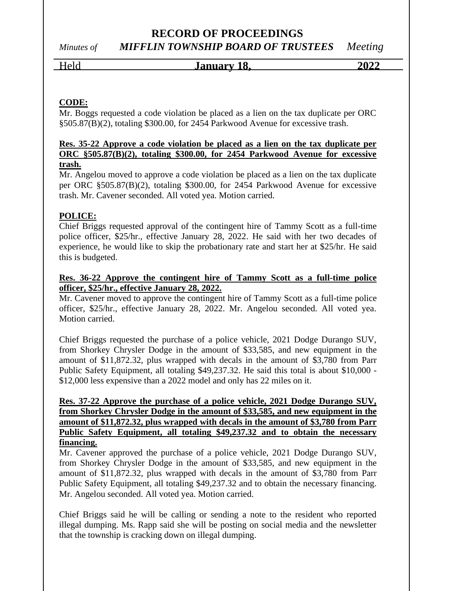## *Minutes of MIFFLIN TOWNSHIP BOARD OF TRUSTEES Meeting*

Held **January 18, 2022**

#### **CODE:**

Mr. Boggs requested a code violation be placed as a lien on the tax duplicate per ORC §505.87(B)(2), totaling \$300.00, for 2454 Parkwood Avenue for excessive trash.

#### **Res. 35-22 Approve a code violation be placed as a lien on the tax duplicate per ORC §505.87(B)(2), totaling \$300.00, for 2454 Parkwood Avenue for excessive trash.**

Mr. Angelou moved to approve a code violation be placed as a lien on the tax duplicate per ORC §505.87(B)(2), totaling \$300.00, for 2454 Parkwood Avenue for excessive trash. Mr. Cavener seconded. All voted yea. Motion carried.

#### **POLICE:**

Chief Briggs requested approval of the contingent hire of Tammy Scott as a full-time police officer, \$25/hr., effective January 28, 2022. He said with her two decades of experience, he would like to skip the probationary rate and start her at \$25/hr. He said this is budgeted.

#### **Res. 36-22 Approve the contingent hire of Tammy Scott as a full-time police officer, \$25/hr., effective January 28, 2022.**

Mr. Cavener moved to approve the contingent hire of Tammy Scott as a full-time police officer, \$25/hr., effective January 28, 2022. Mr. Angelou seconded. All voted yea. Motion carried.

Chief Briggs requested the purchase of a police vehicle, 2021 Dodge Durango SUV, from Shorkey Chrysler Dodge in the amount of \$33,585, and new equipment in the amount of \$11,872.32, plus wrapped with decals in the amount of \$3,780 from Parr Public Safety Equipment, all totaling \$49,237.32. He said this total is about \$10,000 - \$12,000 less expensive than a 2022 model and only has 22 miles on it.

#### **Res. 37-22 Approve the purchase of a police vehicle, 2021 Dodge Durango SUV, from Shorkey Chrysler Dodge in the amount of \$33,585, and new equipment in the amount of \$11,872.32, plus wrapped with decals in the amount of \$3,780 from Parr Public Safety Equipment, all totaling \$49,237.32 and to obtain the necessary financing.**

Mr. Cavener approved the purchase of a police vehicle, 2021 Dodge Durango SUV, from Shorkey Chrysler Dodge in the amount of \$33,585, and new equipment in the amount of \$11,872.32, plus wrapped with decals in the amount of \$3,780 from Parr Public Safety Equipment, all totaling \$49,237.32 and to obtain the necessary financing. Mr. Angelou seconded. All voted yea. Motion carried.

Chief Briggs said he will be calling or sending a note to the resident who reported illegal dumping. Ms. Rapp said she will be posting on social media and the newsletter that the township is cracking down on illegal dumping.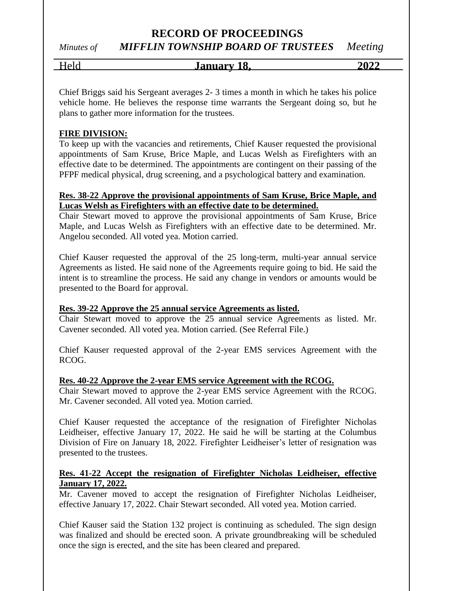### *Minutes of MIFFLIN TOWNSHIP BOARD OF TRUSTEES Meeting*

| ⌒ | Ω<br><b>Januar</b> y<br>-<br>.v. | $\sim$ $\sim$ $\sim$<br>20<br>`` |
|---|----------------------------------|----------------------------------|
|   |                                  |                                  |

Chief Briggs said his Sergeant averages 2- 3 times a month in which he takes his police vehicle home. He believes the response time warrants the Sergeant doing so, but he plans to gather more information for the trustees.

#### **FIRE DIVISION:**

To keep up with the vacancies and retirements, Chief Kauser requested the provisional appointments of Sam Kruse, Brice Maple, and Lucas Welsh as Firefighters with an effective date to be determined. The appointments are contingent on their passing of the PFPF medical physical, drug screening, and a psychological battery and examination.

#### **Res. 38-22 Approve the provisional appointments of Sam Kruse, Brice Maple, and Lucas Welsh as Firefighters with an effective date to be determined.**

Chair Stewart moved to approve the provisional appointments of Sam Kruse, Brice Maple, and Lucas Welsh as Firefighters with an effective date to be determined. Mr. Angelou seconded. All voted yea. Motion carried.

Chief Kauser requested the approval of the 25 long-term, multi-year annual service Agreements as listed. He said none of the Agreements require going to bid. He said the intent is to streamline the process. He said any change in vendors or amounts would be presented to the Board for approval.

#### **Res. 39-22 Approve the 25 annual service Agreements as listed.**

Chair Stewart moved to approve the 25 annual service Agreements as listed. Mr. Cavener seconded. All voted yea. Motion carried. (See Referral File.)

Chief Kauser requested approval of the 2-year EMS services Agreement with the RCOG.

#### **Res. 40-22 Approve the 2-year EMS service Agreement with the RCOG.**

Chair Stewart moved to approve the 2-year EMS service Agreement with the RCOG. Mr. Cavener seconded. All voted yea. Motion carried.

Chief Kauser requested the acceptance of the resignation of Firefighter Nicholas Leidheiser, effective January 17, 2022. He said he will be starting at the Columbus Division of Fire on January 18, 2022. Firefighter Leidheiser's letter of resignation was presented to the trustees.

#### **Res. 41-22 Accept the resignation of Firefighter Nicholas Leidheiser, effective January 17, 2022.**

Mr. Cavener moved to accept the resignation of Firefighter Nicholas Leidheiser, effective January 17, 2022. Chair Stewart seconded. All voted yea. Motion carried.

Chief Kauser said the Station 132 project is continuing as scheduled. The sign design was finalized and should be erected soon. A private groundbreaking will be scheduled once the sign is erected, and the site has been cleared and prepared.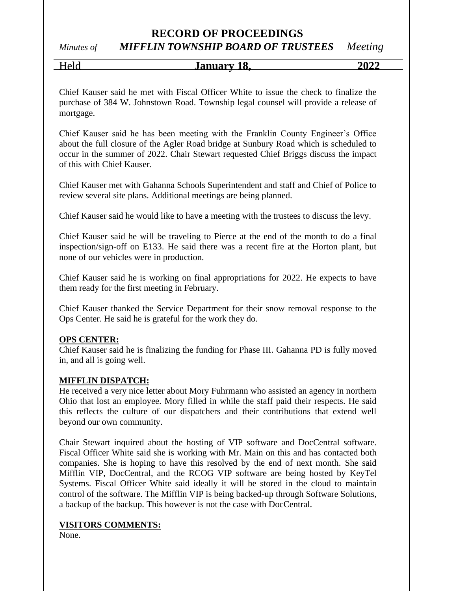*Minutes of MIFFLIN TOWNSHIP BOARD OF TRUSTEES Meeting*

# Held **January 18, 2022**

Chief Kauser said he met with Fiscal Officer White to issue the check to finalize the purchase of 384 W. Johnstown Road. Township legal counsel will provide a release of mortgage.

Chief Kauser said he has been meeting with the Franklin County Engineer's Office about the full closure of the Agler Road bridge at Sunbury Road which is scheduled to occur in the summer of 2022. Chair Stewart requested Chief Briggs discuss the impact of this with Chief Kauser.

Chief Kauser met with Gahanna Schools Superintendent and staff and Chief of Police to review several site plans. Additional meetings are being planned.

Chief Kauser said he would like to have a meeting with the trustees to discuss the levy.

Chief Kauser said he will be traveling to Pierce at the end of the month to do a final inspection/sign-off on E133. He said there was a recent fire at the Horton plant, but none of our vehicles were in production.

Chief Kauser said he is working on final appropriations for 2022. He expects to have them ready for the first meeting in February.

Chief Kauser thanked the Service Department for their snow removal response to the Ops Center. He said he is grateful for the work they do.

#### **OPS CENTER:**

Chief Kauser said he is finalizing the funding for Phase III. Gahanna PD is fully moved in, and all is going well.

#### **MIFFLIN DISPATCH:**

He received a very nice letter about Mory Fuhrmann who assisted an agency in northern Ohio that lost an employee. Mory filled in while the staff paid their respects. He said this reflects the culture of our dispatchers and their contributions that extend well beyond our own community.

Chair Stewart inquired about the hosting of VIP software and DocCentral software. Fiscal Officer White said she is working with Mr. Main on this and has contacted both companies. She is hoping to have this resolved by the end of next month. She said Mifflin VIP, DocCentral, and the RCOG VIP software are being hosted by KeyTel Systems. Fiscal Officer White said ideally it will be stored in the cloud to maintain control of the software. The Mifflin VIP is being backed-up through Software Solutions, a backup of the backup. This however is not the case with DocCentral.

#### **VISITORS COMMENTS:**

None.